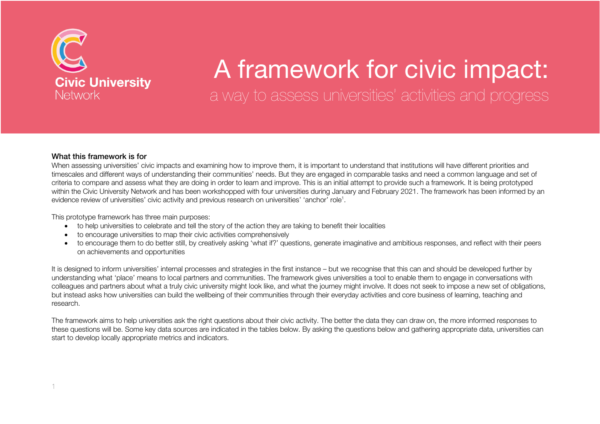

# A framework for civic impact: a way to assess universities' activities and progress

#### What this framework is for

When assessing universities' civic impacts and examining how to improve them, it is important to understand that institutions will have different priorities and timescales and different ways of understanding their communities' needs. But they are engaged in comparable tasks and need a common language and set of criteria to compare and assess what they are doing in order to learn and improve. This is an initial attempt to provide such a framework. It is being prototyped within the Civic University Network and has been workshopped with four universities during January and February 2021. The framework has been informed by an evidence review of universities' civic activity and previous research on universities' 'anchor' role<sup>1</sup>.

This prototype framework has three main purposes:

- to help universities to celebrate and tell the story of the action they are taking to benefit their localities
- to encourage universities to map their civic activities comprehensively
- to encourage them to do better still, by creatively asking 'what if?' questions, generate imaginative and ambitious responses, and reflect with their peers on achievements and opportunities

It is designed to inform universities' internal processes and strategies in the first instance – but we recognise that this can and should be developed further by understanding what 'place' means to local partners and communities. The framework gives universities a tool to enable them to engage in conversations with colleagues and partners about what a truly civic university might look like, and what the journey might involve. It does not seek to impose a new set of obligations, but instead asks how universities can build the wellbeing of their communities through their everyday activities and core business of learning, teaching and research.

The framework aims to help universities ask the right questions about their civic activity. The better the data they can draw on, the more informed responses to these questions will be. Some key data sources are indicated in the tables below. By asking the questions below and gathering appropriate data, universities can start to develop locally appropriate metrics and indicators.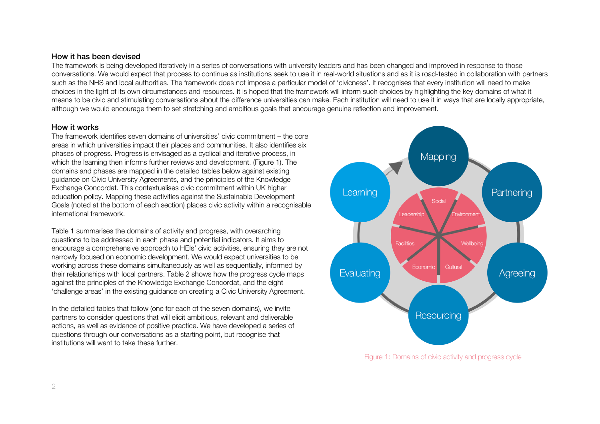#### How it has been devised

The framework is being developed iteratively in a series of conversations with university leaders and has been changed and improved in response to those conversations. We would expect that process to continue as institutions seek to use it in real-world situations and as it is road-tested in collaboration with partners such as the NHS and local authorities. The framework does not impose a particular model of 'civicness'. It recognises that every institution will need to make choices in the light of its own circumstances and resources. It is hoped that the framework will inform such choices by highlighting the key domains of what it means to be civic and stimulating conversations about the difference universities can make. Each institution will need to use it in ways that are locally appropriate, although we would encourage them to set stretching and ambitious goals that encourage genuine reflection and improvement.

#### How it works

The framework identifies seven domains of universities' civic commitment – the core areas in which universities impact their places and communities. It also identifies six phases of progress. Progress is envisaged as a cyclical and iterative process, in which the learning then informs further reviews and development. (Figure 1). The domains and phases are mapped in the detailed tables below against existing guidance on Civic University Agreements, and the principles of the Knowledge Exchange Concordat. This contextualises civic commitment within UK higher education policy. Mapping these activities against the Sustainable Development Goals (noted at the bottom of each section) places civic activity within a recognisable international framework.

Table 1 summarises the domains of activity and progress, with overarching questions to be addressed in each phase and potential indicators. It aims to encourage a comprehensive approach to HEIs' civic activities, ensuring they are not narrowly focused on economic development. We would expect universities to be working across these domains simultaneously as well as sequentially, informed by their relationships with local partners. Table 2 shows how the progress cycle maps against the principles of the Knowledge Exchange Concordat, and the eight 'challenge areas' in the existing guidance on creating a Civic University Agreement.

In the detailed tables that follow (one for each of the seven domains), we invite partners to consider questions that will elicit ambitious, relevant and deliverable actions, as well as evidence of positive practice. We have developed a series of questions through our conversations as a starting point, but recognise that institutions will want to take these further.



Figure 1: Domains of civic activity and progress cycle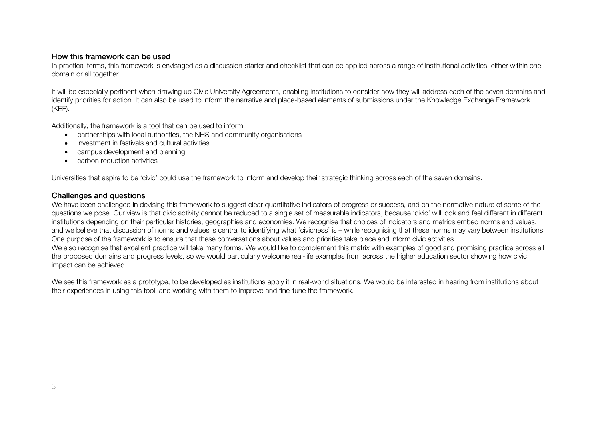#### How this framework can be used

In practical terms, this framework is envisaged as a discussion-starter and checklist that can be applied across a range of institutional activities, either within one domain or all together.

It will be especially pertinent when drawing up Civic University Agreements, enabling institutions to consider how they will address each of the seven domains and identify priorities for action. It can also be used to inform the narrative and place-based elements of submissions under the Knowledge Exchange Framework (KEF).

Additionally, the framework is a tool that can be used to inform:

- partnerships with local authorities, the NHS and community organisations
- investment in festivals and cultural activities
- campus development and planning
- carbon reduction activities

Universities that aspire to be 'civic' could use the framework to inform and develop their strategic thinking across each of the seven domains.

#### Challenges and questions

We have been challenged in devising this framework to suggest clear quantitative indicators of progress or success, and on the normative nature of some of the questions we pose. Our view is that civic activity cannot be reduced to a single set of measurable indicators, because 'civic' will look and feel different in different institutions depending on their particular histories, geographies and economies. We recognise that choices of indicators and metrics embed norms and values, and we believe that discussion of norms and values is central to identifying what 'civicness' is – while recognising that these norms may vary between institutions. One purpose of the framework is to ensure that these conversations about values and priorities take place and inform civic activities. We also recognise that excellent practice will take many forms. We would like to complement this matrix with examples of good and promising practice across all the proposed domains and progress levels, so we would particularly welcome real-life examples from across the higher education sector showing how civic impact can be achieved.

We see this framework as a prototype, to be developed as institutions apply it in real-world situations. We would be interested in hearing from institutions about their experiences in using this tool, and working with them to improve and fine-tune the framework.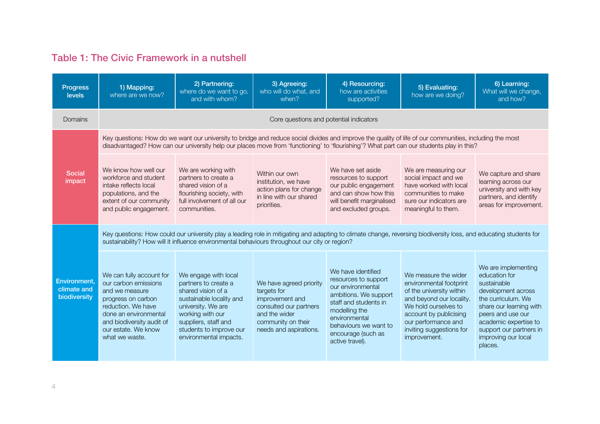### Table 1: The Civic Framework in a nutshell

| <b>Progress</b><br>levels                   | 1) Mapping:<br>where are we now?                                                                                                                                                                                                                                   | 2) Partnering:<br>where do we want to go,<br>and with whom?                                                                                                                                                                                                                                         | 3) Agreeing:<br>who will do what, and<br>when?                                                                                                       | 4) Resourcing:<br>how are activities<br>supported?                                                                                                                                                                    | 5) Evaluating:<br>how are we doing?                                                                                                                                                                                          | 6) Learning:<br>What will we change,<br>and how?                                                                                                                                                                                      |
|---------------------------------------------|--------------------------------------------------------------------------------------------------------------------------------------------------------------------------------------------------------------------------------------------------------------------|-----------------------------------------------------------------------------------------------------------------------------------------------------------------------------------------------------------------------------------------------------------------------------------------------------|------------------------------------------------------------------------------------------------------------------------------------------------------|-----------------------------------------------------------------------------------------------------------------------------------------------------------------------------------------------------------------------|------------------------------------------------------------------------------------------------------------------------------------------------------------------------------------------------------------------------------|---------------------------------------------------------------------------------------------------------------------------------------------------------------------------------------------------------------------------------------|
| <b>Domains</b>                              |                                                                                                                                                                                                                                                                    |                                                                                                                                                                                                                                                                                                     | Core questions and potential indicators                                                                                                              |                                                                                                                                                                                                                       |                                                                                                                                                                                                                              |                                                                                                                                                                                                                                       |
|                                             |                                                                                                                                                                                                                                                                    | Key questions: How do we want our university to bridge and reduce social divides and improve the quality of life of our communities, including the most<br>disadvantaged? How can our university help our places move from 'functioning' to 'flourishing'? What part can our students play in this? |                                                                                                                                                      |                                                                                                                                                                                                                       |                                                                                                                                                                                                                              |                                                                                                                                                                                                                                       |
| <b>Social</b><br>impact                     | We know how well our<br>workforce and student<br>intake reflects local<br>populations, and the<br>extent of our community<br>and public engagement.                                                                                                                | We are working with<br>partners to create a<br>shared vision of a<br>flourishing society, with<br>full involvement of all our<br>communities.                                                                                                                                                       | Within our own<br>institution, we have<br>action plans for change<br>in line with our shared<br>priorities.                                          | We have set aside<br>resources to support<br>our public engagement<br>and can show how this<br>will benefit marginalised<br>and excluded groups.                                                                      | We are measuring our<br>social impact and we<br>have worked with local<br>communities to make<br>sure our indicators are<br>meaningful to them.                                                                              | We capture and share<br>learning across our<br>university and with key<br>partners, and identify<br>areas for improvement.                                                                                                            |
|                                             | Key questions: How could our university play a leading role in mitigating and adapting to climate change, reversing biodiversity loss, and educating students for<br>sustainability? How will it influence environmental behaviours throughout our city or region? |                                                                                                                                                                                                                                                                                                     |                                                                                                                                                      |                                                                                                                                                                                                                       |                                                                                                                                                                                                                              |                                                                                                                                                                                                                                       |
| Environment.<br>climate and<br>biodiversity | We can fully account for<br>our carbon emissions<br>and we measure<br>progress on carbon<br>reduction. We have<br>done an environmental<br>and biodiversity audit of<br>our estate. We know<br>what we waste.                                                      | We engage with local<br>partners to create a<br>shared vision of a<br>sustainable locality and<br>university. We are<br>working with our<br>suppliers, staff and<br>students to improve our<br>environmental impacts.                                                                               | We have agreed priority<br>targets for<br>improvement and<br>consulted our partners<br>and the wider<br>community on their<br>needs and aspirations. | We have identified<br>resources to support<br>our environmental<br>ambitions. We support<br>staff and students in<br>modelling the<br>environmental<br>behaviours we want to<br>encourage (such as<br>active travel). | We measure the wider<br>environmental footprint<br>of the university within<br>and beyond our locality.<br>We hold ourselves to<br>account by publicising<br>our performance and<br>inviting suggestions for<br>improvement. | We are implementing<br>education for<br>sustainable<br>development across<br>the curriculum. We<br>share our learning with<br>peers and use our<br>academic expertise to<br>support our partners in<br>improving our local<br>places. |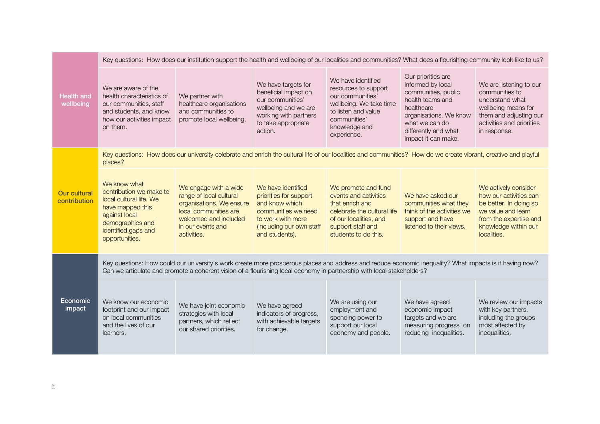|                                     |                                                                                                                                                                      | Key questions: How does our institution support the health and wellbeing of our localities and communities? What does a flourishing community look like to us?     |                                                                                                                                                          |                                                                                                                                                                       |                                                                                                                                                                                             |                                                                                                                                                                 |  |  |  |
|-------------------------------------|----------------------------------------------------------------------------------------------------------------------------------------------------------------------|--------------------------------------------------------------------------------------------------------------------------------------------------------------------|----------------------------------------------------------------------------------------------------------------------------------------------------------|-----------------------------------------------------------------------------------------------------------------------------------------------------------------------|---------------------------------------------------------------------------------------------------------------------------------------------------------------------------------------------|-----------------------------------------------------------------------------------------------------------------------------------------------------------------|--|--|--|
| <b>Health and</b><br>wellbeing      | We are aware of the<br>health characteristics of<br>our communities, staff<br>and students, and know<br>how our activities impact<br>on them.                        | We partner with<br>healthcare organisations<br>and communities to<br>promote local wellbeing.                                                                      | We have targets for<br>beneficial impact on<br>our communities'<br>wellbeing and we are<br>working with partners<br>to take appropriate<br>action.       | We have identified<br>resources to support<br>our communities'<br>wellbeing. We take time<br>to listen and value<br>communities'<br>knowledge and<br>experience.      | Our priorities are<br>informed by local<br>communities, public<br>health teams and<br>healthcare<br>organisations. We know<br>what we can do<br>differently and what<br>impact it can make. | We are listening to our<br>communities to<br>understand what<br>wellbeing means for<br>them and adjusting our<br>activities and priorities<br>in response.      |  |  |  |
|                                     | places?                                                                                                                                                              | Key questions: How does our university celebrate and enrich the cultural life of our localities and communities? How do we create vibrant, creative and playful    |                                                                                                                                                          |                                                                                                                                                                       |                                                                                                                                                                                             |                                                                                                                                                                 |  |  |  |
| <b>Our cultural</b><br>contribution | We know what<br>contribution we make to<br>local cultural life. We<br>have mapped this<br>against local<br>demographics and<br>identified gaps and<br>opportunities. | We engage with a wide<br>range of local cultural<br>organisations. We ensure<br>local communities are<br>welcomed and included<br>in our events and<br>activities. | We have identified<br>priorities for support<br>and know which<br>communities we need<br>to work with more<br>(including our own staff<br>and students). | We promote and fund<br>events and activities<br>that enrich and<br>celebrate the cultural life<br>of our localities, and<br>support staff and<br>students to do this. | We have asked our<br>communities what they<br>think of the activities we<br>support and have<br>listened to their views.                                                                    | We actively consider<br>how our activities can<br>be better. In doing so<br>we value and learn<br>from the expertise and<br>knowledge within our<br>localities. |  |  |  |
|                                     |                                                                                                                                                                      | Can we articulate and promote a coherent vision of a flourishing local economy in partnership with local stakeholders?                                             |                                                                                                                                                          |                                                                                                                                                                       |                                                                                                                                                                                             | Key questions: How could our university's work create more prosperous places and address and reduce economic inequality? What impacts is it having now?         |  |  |  |
| Economic<br>impact                  | We know our economic<br>footprint and our impact<br>on local communities<br>and the lives of our<br>learners.                                                        | We have joint economic<br>strategies with local<br>partners, which reflect<br>our shared priorities.                                                               | We have agreed<br>indicators of progress,<br>with achievable targets<br>for change.                                                                      | We are using our<br>employment and<br>spending power to<br>support our local<br>economy and people.                                                                   | We have agreed<br>economic impact<br>targets and we are<br>measuring progress on<br>reducing inequalities.                                                                                  | We review our impacts<br>with key partners,<br>including the groups<br>most affected by<br>inequalities.                                                        |  |  |  |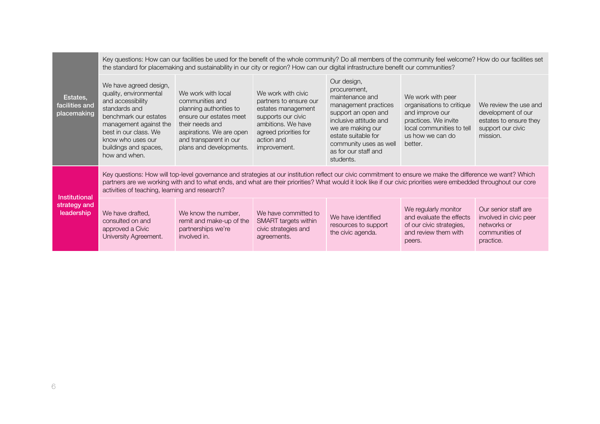| Estates,<br>facilities and<br>placemaking          |                                                                                                                                                                                                                                   | Key questions: How can our facilities be used for the benefit of the whole community? Do all members of the community feel welcome? How do our facilities set<br>the standard for placemaking and sustainability in our city or region? How can our digital infrastructure benefit our communities?                            |                                                                                                                                                                       |                                                                                                                                                                                                                                    |                                                                                                                                                       |                                                                                                        |
|----------------------------------------------------|-----------------------------------------------------------------------------------------------------------------------------------------------------------------------------------------------------------------------------------|--------------------------------------------------------------------------------------------------------------------------------------------------------------------------------------------------------------------------------------------------------------------------------------------------------------------------------|-----------------------------------------------------------------------------------------------------------------------------------------------------------------------|------------------------------------------------------------------------------------------------------------------------------------------------------------------------------------------------------------------------------------|-------------------------------------------------------------------------------------------------------------------------------------------------------|--------------------------------------------------------------------------------------------------------|
|                                                    | We have agreed design,<br>quality, environmental<br>and accessibility<br>standards and<br>benchmark our estates<br>management against the<br>best in our class. We<br>know who uses our<br>buildings and spaces,<br>how and when. | We work with local<br>communities and<br>planning authorities to<br>ensure our estates meet<br>their needs and<br>aspirations. We are open<br>and transparent in our<br>plans and developments.                                                                                                                                | We work with civic<br>partners to ensure our<br>estates management<br>supports our civic<br>ambitions. We have<br>agreed priorities for<br>action and<br>improvement. | Our design,<br>procurement,<br>maintenance and<br>management practices<br>support an open and<br>inclusive attitude and<br>we are making our<br>estate suitable for<br>community uses as well<br>as for our staff and<br>students. | We work with peer<br>organisations to critique<br>and improve our<br>practices. We invite<br>local communities to tell<br>us how we can do<br>better. | We review the use and<br>development of our<br>estates to ensure they<br>support our civic<br>mission. |
| <b>Institutional</b><br>strategy and<br>leadership | activities of teaching, learning and research?                                                                                                                                                                                    | Key questions: How will top-level governance and strategies at our institution reflect our civic commitment to ensure we make the difference we want? Which<br>partners are we working with and to what ends, and what are their priorities? What would it look like if our civic priorities were embedded throughout our core |                                                                                                                                                                       |                                                                                                                                                                                                                                    |                                                                                                                                                       |                                                                                                        |
|                                                    | We have drafted,<br>consulted on and<br>approved a Civic<br>University Agreement.                                                                                                                                                 | We know the number,<br>remit and make-up of the<br>partnerships we're<br>involved in.                                                                                                                                                                                                                                          | We have committed to<br>SMART targets within<br>civic strategies and<br>agreements.                                                                                   | We have identified<br>resources to support<br>the civic agenda.                                                                                                                                                                    | We regularly monitor<br>and evaluate the effects<br>of our civic strategies,<br>and review them with<br>peers.                                        | Our senior staff are<br>involved in civic peer<br>networks or<br>communities of<br>practice.           |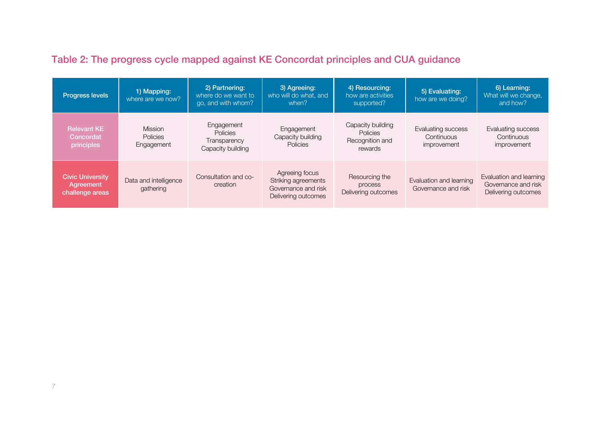| Table 2: The progress cycle mapped against KE Concordat principles and CUA guidance |  |  |  |
|-------------------------------------------------------------------------------------|--|--|--|
|-------------------------------------------------------------------------------------|--|--|--|

| <b>Progress levels</b>                                  | 1) Mapping:<br>where are we now?                | 2) Partnering:<br>where do we want to<br>go, and with whom?        | 3) Agreeing:<br>who will do what, and<br>when?                                      | 4) Resourcing:<br>how are activities<br>supported?                 | 5) Evaluating:<br>how are we doing?             | 6) Learning:<br>What will we change,<br>and how?                      |
|---------------------------------------------------------|-------------------------------------------------|--------------------------------------------------------------------|-------------------------------------------------------------------------------------|--------------------------------------------------------------------|-------------------------------------------------|-----------------------------------------------------------------------|
| <b>Relevant KE</b><br>Concordat<br>principles           | <b>Mission</b><br><b>Policies</b><br>Engagement | Engagement<br><b>Policies</b><br>Transparency<br>Capacity building | Engagement<br>Capacity building<br>Policies                                         | Capacity building<br><b>Policies</b><br>Recognition and<br>rewards | Evaluating success<br>Continuous<br>improvement | Evaluating success<br>Continuous<br>improvement                       |
| <b>Civic University</b><br>Agreement<br>challenge areas | Data and intelligence<br>gathering              | Consultation and co-<br>creation                                   | Agreeing focus<br>Striking agreements<br>Governance and risk<br>Delivering outcomes | Resourcing the<br>process<br>Delivering outcomes                   | Evaluation and learning<br>Governance and risk  | Evaluation and learning<br>Governance and risk<br>Delivering outcomes |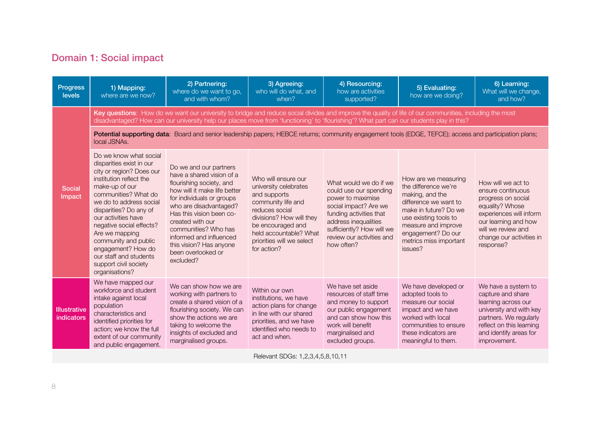# Domain 1: Social impact

| <b>Progress</b><br>levels         | 1) Mapping:<br>where are we now?                                                                                                                                                                                                                                                                                                                                                                 | 2) Partnering:<br>where do we want to go,<br>and with whom?                                                                                                                                                                                                                                                                             | 3) Agreeing:<br>who will do what, and<br>when?                                                                                                                                                                              | 4) Resourcing:<br>how are activities<br>supported?                                                                                                                                                                        | 5) Evaluating:<br>how are we doing?                                                                                                                                                                                          | 6) Learning:<br>What will we change,<br>and how?                                                                                                                                                   |  |  |
|-----------------------------------|--------------------------------------------------------------------------------------------------------------------------------------------------------------------------------------------------------------------------------------------------------------------------------------------------------------------------------------------------------------------------------------------------|-----------------------------------------------------------------------------------------------------------------------------------------------------------------------------------------------------------------------------------------------------------------------------------------------------------------------------------------|-----------------------------------------------------------------------------------------------------------------------------------------------------------------------------------------------------------------------------|---------------------------------------------------------------------------------------------------------------------------------------------------------------------------------------------------------------------------|------------------------------------------------------------------------------------------------------------------------------------------------------------------------------------------------------------------------------|----------------------------------------------------------------------------------------------------------------------------------------------------------------------------------------------------|--|--|
|                                   | Key questions: How do we want our university to bridge and reduce social divides and improve the quality of life of our communities, including the most<br>disadvantaged? How can our university help our places move from 'functioning' to 'flourishing'? What part can our students play in this?                                                                                              |                                                                                                                                                                                                                                                                                                                                         |                                                                                                                                                                                                                             |                                                                                                                                                                                                                           |                                                                                                                                                                                                                              |                                                                                                                                                                                                    |  |  |
|                                   | local JSNAs.                                                                                                                                                                                                                                                                                                                                                                                     | Potential supporting data: Board and senior leadership papers; HEBCE returns; community engagement tools (EDGE, TEFCE); access and participation plans;                                                                                                                                                                                 |                                                                                                                                                                                                                             |                                                                                                                                                                                                                           |                                                                                                                                                                                                                              |                                                                                                                                                                                                    |  |  |
| <b>Social</b><br>Impact           | Do we know what social<br>disparities exist in our<br>city or region? Does our<br>institution reflect the<br>make-up of our<br>communities? What do<br>we do to address social<br>disparities? Do any of<br>our activities have<br>negative social effects?<br>Are we mapping<br>community and public<br>engagement? How do<br>our staff and students<br>support civil society<br>organisations? | Do we and our partners<br>have a shared vision of a<br>flourishing society, and<br>how will it make life better<br>for individuals or groups<br>who are disadvantaged?<br>Has this vision been co-<br>created with our<br>communities? Who has<br>informed and influenced<br>this vision? Has anyone<br>been overlooked or<br>excluded? | Who will ensure our<br>university celebrates<br>and supports<br>community life and<br>reduces social<br>divisions? How will they<br>be encouraged and<br>held accountable? What<br>priorities will we select<br>for action? | What would we do if we<br>could use our spending<br>power to maximise<br>social impact? Are we<br>funding activities that<br>address inequalities<br>sufficiently? How will we<br>review our activities and<br>how often? | How are we measuring<br>the difference we're<br>making, and the<br>difference we want to<br>make in future? Do we<br>use existing tools to<br>measure and improve<br>engagement? Do our<br>metrics miss important<br>issues? | How will we act to<br>ensure continuous<br>progress on social<br>equality? Whose<br>experiences will inform<br>our learning and how<br>will we review and<br>change our activities in<br>response? |  |  |
| <b>Illustrative</b><br>indicators | We have mapped our<br>workforce and student<br>intake against local<br>population<br>characteristics and<br>identified priorities for<br>action; we know the full<br>extent of our community<br>and public engagement.                                                                                                                                                                           | We can show how we are<br>working with partners to<br>create a shared vision of a<br>flourishing society. We can<br>show the actions we are<br>taking to welcome the<br>insights of excluded and<br>marginalised groups.                                                                                                                | Within our own<br>institutions, we have<br>action plans for change<br>in line with our shared<br>priorities, and we have<br>identified who needs to<br>act and when.                                                        | We have set aside<br>resources of staff time<br>and money to support<br>our public engagement<br>and can show how this<br>work will benefit<br>marginalised and<br>excluded groups.                                       | We have developed or<br>adopted tools to<br>measure our social<br>impact and we have<br>worked with local<br>communities to ensure<br>these indicators are<br>meaningful to them.                                            | We have a system to<br>capture and share<br>learning across our<br>university and with key<br>partners. We regularly<br>reflect on this learning<br>and identify areas for<br>improvement.         |  |  |

Relevant SDGs: 1,2,3,4,5,8,10,11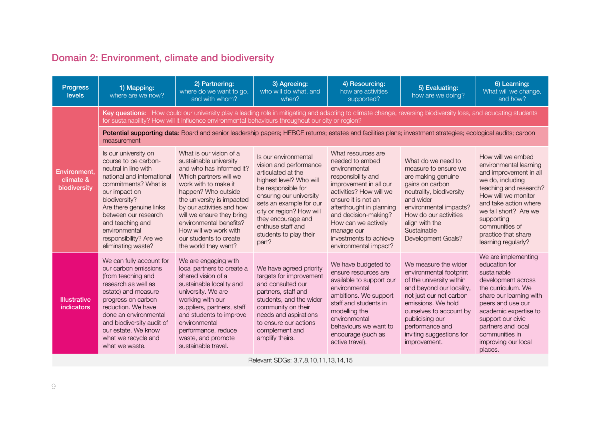# Domain 2: Environment, climate and biodiversity

| <b>Progress</b><br><b>levels</b>          | 1) Mapping:<br>where are we now?                                                                                                                                                                                                                                                                     | 2) Partnering:<br>where do we want to go,<br>and with whom?                                                                                                                                                                                                                                                                                          | 3) Agreeing:<br>who will do what, and<br>when?                                                                                                                                                                                                                                        | 4) Resourcing:<br>how are activities<br>supported?                                                                                                                                                                                                                                                   | 5) Evaluating:<br>how are we doing?                                                                                                                                                                                                                                   | 6) Learning:<br>What will we change,<br>and how?                                                                                                                                                                                                                           |
|-------------------------------------------|------------------------------------------------------------------------------------------------------------------------------------------------------------------------------------------------------------------------------------------------------------------------------------------------------|------------------------------------------------------------------------------------------------------------------------------------------------------------------------------------------------------------------------------------------------------------------------------------------------------------------------------------------------------|---------------------------------------------------------------------------------------------------------------------------------------------------------------------------------------------------------------------------------------------------------------------------------------|------------------------------------------------------------------------------------------------------------------------------------------------------------------------------------------------------------------------------------------------------------------------------------------------------|-----------------------------------------------------------------------------------------------------------------------------------------------------------------------------------------------------------------------------------------------------------------------|----------------------------------------------------------------------------------------------------------------------------------------------------------------------------------------------------------------------------------------------------------------------------|
|                                           |                                                                                                                                                                                                                                                                                                      | Key questions: How could our university play a leading role in mitigating and adapting to climate change, reversing biodiversity loss, and educating students<br>for sustainability? How will it influence environmental behaviours throughout our city or region?                                                                                   |                                                                                                                                                                                                                                                                                       |                                                                                                                                                                                                                                                                                                      |                                                                                                                                                                                                                                                                       |                                                                                                                                                                                                                                                                            |
|                                           | measurement                                                                                                                                                                                                                                                                                          | Potential supporting data: Board and senior leadership papers; HEBCE returns; estates and facilities plans; investment strategies; ecological audits; carbon                                                                                                                                                                                         |                                                                                                                                                                                                                                                                                       |                                                                                                                                                                                                                                                                                                      |                                                                                                                                                                                                                                                                       |                                                                                                                                                                                                                                                                            |
| Environment.<br>climate &<br>biodiversity | Is our university on<br>course to be carbon-<br>neutral in line with<br>national and international<br>commitments? What is<br>our impact on<br>biodiversity?<br>Are there genuine links<br>between our research<br>and teaching and<br>environmental<br>responsibility? Are we<br>eliminating waste? | What is our vision of a<br>sustainable university<br>and who has informed it?<br>Which partners will we<br>work with to make it<br>happen? Who outside<br>the university is impacted<br>by our activities and how<br>will we ensure they bring<br>environmental benefits?<br>How will we work with<br>our students to create<br>the world they want? | Is our environmental<br>vision and performance<br>articulated at the<br>highest level? Who will<br>be responsible for<br>ensuring our university<br>sets an example for our<br>city or region? How will<br>they encourage and<br>enthuse staff and<br>students to play their<br>part? | What resources are<br>needed to embed<br>environmental<br>responsibility and<br>improvement in all our<br>activities? How will we<br>ensure it is not an<br>afterthought in planning<br>and decision-making?<br>How can we actively<br>manage our<br>investments to achieve<br>environmental impact? | What do we need to<br>measure to ensure we<br>are making genuine<br>gains on carbon<br>neutrality, biodiversity<br>and wider<br>environmental impacts?<br>How do our activities<br>align with the<br>Sustainable<br>Development Goals?                                | How will we embed<br>environmental learning<br>and improvement in all<br>we do, including<br>teaching and research?<br>How will we monitor<br>and take action where<br>we fall short? Are we<br>supporting<br>communities of<br>practice that share<br>learning regularly? |
| <b>Illustrative</b><br><i>indicators</i>  | We can fully account for<br>our carbon emissions<br>(from teaching and<br>research as well as<br>estate) and measure<br>progress on carbon<br>reduction. We have<br>done an environmental<br>and biodiversity audit of<br>our estate. We know<br>what we recycle and<br>what we waste.               | We are engaging with<br>local partners to create a<br>shared vision of a<br>sustainable locality and<br>university. We are<br>working with our<br>suppliers, partners, staff<br>and students to improve<br>environmental<br>performance, reduce<br>waste, and promote<br>sustainable travel.                                                         | We have agreed priority<br>targets for improvement<br>and consulted our<br>partners, staff and<br>students, and the wider<br>community on their<br>needs and aspirations<br>to ensure our actions<br>complement and<br>amplify theirs.                                                | We have budgeted to<br>ensure resources are<br>available to support our<br>environmental<br>ambitions. We support<br>staff and students in<br>modelling the<br>environmental<br>behaviours we want to<br>encourage (such as<br>active travel).                                                       | We measure the wider<br>environmental footprint<br>of the university within<br>and beyond our locality,<br>not just our net carbon<br>emissions. We hold<br>ourselves to account by<br>publicising our<br>performance and<br>inviting suggestions for<br>improvement. | We are implementing<br>education for<br>sustainable<br>development across<br>the curriculum. We<br>share our learning with<br>peers and use our<br>academic expertise to<br>support our civic<br>partners and local<br>communities in<br>improving our local<br>places.    |

Relevant SDGs: 3,7,8,10,11,13,14,15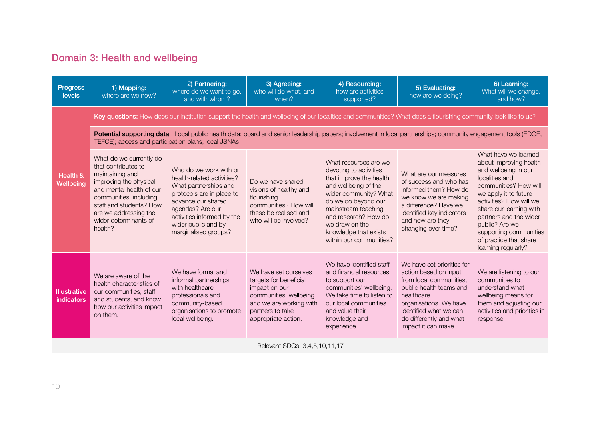# Domain 3: Health and wellbeing

| <b>Progress</b><br><b>levels</b>  | 1) Mapping:<br>where are we now?                                                                                                                                                                                                          | 2) Partnering:<br>where do we want to go,<br>and with whom?                                                                                                                                                                       | 3) Agreeing:<br>who will do what, and<br>when?                                                                                                                   | 4) Resourcing:<br>how are activities<br>supported?                                                                                                                                                                                                                      | 5) Evaluating:<br>how are we doing?                                                                                                                                                                                           | 6) Learning:<br>What will we change,<br>and how?                                                                                                                                                                                                                                                                        |
|-----------------------------------|-------------------------------------------------------------------------------------------------------------------------------------------------------------------------------------------------------------------------------------------|-----------------------------------------------------------------------------------------------------------------------------------------------------------------------------------------------------------------------------------|------------------------------------------------------------------------------------------------------------------------------------------------------------------|-------------------------------------------------------------------------------------------------------------------------------------------------------------------------------------------------------------------------------------------------------------------------|-------------------------------------------------------------------------------------------------------------------------------------------------------------------------------------------------------------------------------|-------------------------------------------------------------------------------------------------------------------------------------------------------------------------------------------------------------------------------------------------------------------------------------------------------------------------|
|                                   |                                                                                                                                                                                                                                           | Key questions: How does our institution support the health and wellbeing of our localities and communities? What does a flourishing community look like to us?                                                                    |                                                                                                                                                                  |                                                                                                                                                                                                                                                                         |                                                                                                                                                                                                                               |                                                                                                                                                                                                                                                                                                                         |
|                                   | TEFCE); access and participation plans; local JSNAs                                                                                                                                                                                       | Potential supporting data: Local public health data; board and senior leadership papers; involvement in local partnerships; community engagement tools (EDGE,                                                                     |                                                                                                                                                                  |                                                                                                                                                                                                                                                                         |                                                                                                                                                                                                                               |                                                                                                                                                                                                                                                                                                                         |
| Health &<br>Wellbeing             | What do we currently do<br>that contributes to<br>maintaining and<br>improving the physical<br>and mental health of our<br>communities, including<br>staff and students? How<br>are we addressing the<br>wider determinants of<br>health? | Who do we work with on<br>health-related activities?<br>What partnerships and<br>protocols are in place to<br>advance our shared<br>agendas? Are our<br>activities informed by the<br>wider public and by<br>marginalised groups? | Do we have shared<br>visions of healthy and<br>flourishing<br>communities? How will<br>these be realised and<br>who will be involved?                            | What resources are we<br>devoting to activities<br>that improve the health<br>and wellbeing of the<br>wider community? What<br>do we do beyond our<br>mainstream teaching<br>and research? How do<br>we draw on the<br>knowledge that exists<br>within our communities? | What are our measures<br>of success and who has<br>informed them? How do<br>we know we are making<br>a difference? Have we<br>identified key indicators<br>and how are they<br>changing over time?                            | What have we learned<br>about improving health<br>and wellbeing in our<br>localities and<br>communities? How will<br>we apply it to future<br>activities? How will we<br>share our learning with<br>partners and the wider<br>public? Are we<br>supporting communities<br>of practice that share<br>learning regularly? |
| <b>Illustrative</b><br>indicators | We are aware of the<br>health characteristics of<br>our communities, staff,<br>and students, and know<br>how our activities impact<br>on them.                                                                                            | We have formal and<br>informal partnerships<br>with healthcare<br>professionals and<br>community-based<br>organisations to promote<br>local wellbeing.                                                                            | We have set ourselves<br>targets for beneficial<br>impact on our<br>communities' wellbeing<br>and we are working with<br>partners to take<br>appropriate action. | We have identified staff<br>and financial resources<br>to support our<br>communities' wellbeing.<br>We take time to listen to<br>our local communities<br>and value their<br>knowledge and<br>experience.                                                               | We have set priorities for<br>action based on input<br>from local communities,<br>public health teams and<br>healthcare<br>organisations. We have<br>identified what we can<br>do differently and what<br>impact it can make. | We are listening to our<br>communities to<br>understand what<br>wellbeing means for<br>them and adjusting our<br>activities and priorities in<br>response.                                                                                                                                                              |
|                                   |                                                                                                                                                                                                                                           |                                                                                                                                                                                                                                   | Relevant SDGs: 3,4,5,10,11,17                                                                                                                                    |                                                                                                                                                                                                                                                                         |                                                                                                                                                                                                                               |                                                                                                                                                                                                                                                                                                                         |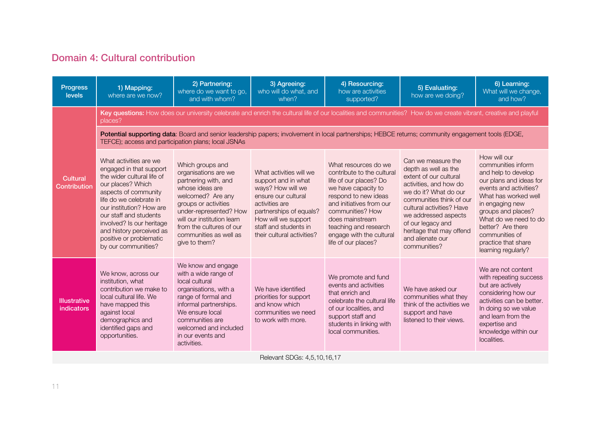### Domain 4: Cultural contribution

| <b>Progress</b><br><b>levels</b>  | 1) Mapping:<br>where are we now?                                                                                                                                                                                                                                                                                         | 2) Partnering:<br>where do we want to go,<br>and with whom?                                                                                                                                                                                                     | 3) Agreeing:<br>who will do what, and<br>when?                                                                                                                                                                        | 4) Resourcing:<br>how are activities<br>supported?                                                                                                                                                                                                                         | 5) Evaluating:<br>how are we doing?                                                                                                                                                                                                                                                           | 6) Learning:<br>What will we change,<br>and how?                                                                                                                                                                                                                                              |
|-----------------------------------|--------------------------------------------------------------------------------------------------------------------------------------------------------------------------------------------------------------------------------------------------------------------------------------------------------------------------|-----------------------------------------------------------------------------------------------------------------------------------------------------------------------------------------------------------------------------------------------------------------|-----------------------------------------------------------------------------------------------------------------------------------------------------------------------------------------------------------------------|----------------------------------------------------------------------------------------------------------------------------------------------------------------------------------------------------------------------------------------------------------------------------|-----------------------------------------------------------------------------------------------------------------------------------------------------------------------------------------------------------------------------------------------------------------------------------------------|-----------------------------------------------------------------------------------------------------------------------------------------------------------------------------------------------------------------------------------------------------------------------------------------------|
|                                   | places?                                                                                                                                                                                                                                                                                                                  | Key questions: How does our university celebrate and enrich the cultural life of our localities and communities? How do we create vibrant, creative and playful                                                                                                 |                                                                                                                                                                                                                       |                                                                                                                                                                                                                                                                            |                                                                                                                                                                                                                                                                                               |                                                                                                                                                                                                                                                                                               |
|                                   | TEFCE); access and participation plans; local JSNAs                                                                                                                                                                                                                                                                      | Potential supporting data: Board and senior leadership papers; involvement in local partnerships; HEBCE returns; community engagement tools (EDGE,                                                                                                              |                                                                                                                                                                                                                       |                                                                                                                                                                                                                                                                            |                                                                                                                                                                                                                                                                                               |                                                                                                                                                                                                                                                                                               |
| Cultural<br>Contribution          | What activities are we<br>engaged in that support<br>the wider cultural life of<br>our places? Which<br>aspects of community<br>life do we celebrate in<br>our institution? How are<br>our staff and students<br>involved? Is our heritage<br>and history perceived as<br>positive or problematic<br>by our communities? | Which groups and<br>organisations are we<br>partnering with, and<br>whose ideas are<br>welcomed? Are any<br>groups or activities<br>under-represented? How<br>will our institution learn<br>from the cultures of our<br>communities as well as<br>give to them? | What activities will we<br>support and in what<br>ways? How will we<br>ensure our cultural<br>activities are<br>partnerships of equals?<br>How will we support<br>staff and students in<br>their cultural activities? | What resources do we<br>contribute to the cultural<br>life of our places? Do<br>we have capacity to<br>respond to new ideas<br>and initiatives from our<br>communities? How<br>does mainstream<br>teaching and research<br>engage with the cultural<br>life of our places? | Can we measure the<br>depth as well as the<br>extent of our cultural<br>activities, and how do<br>we do it? What do our<br>communities think of our<br>cultural activities? Have<br>we addressed aspects<br>of our legacy and<br>heritage that may offend<br>and alienate our<br>communities? | How will our<br>communities inform<br>and help to develop<br>our plans and ideas for<br>events and activities?<br>What has worked well<br>in engaging new<br>groups and places?<br>What do we need to do<br>better? Are there<br>communities of<br>practice that share<br>learning regularly? |
| <b>Illustrative</b><br>indicators | We know, across our<br>institution, what<br>contribution we make to<br>local cultural life. We<br>have mapped this<br>against local<br>demographics and<br>identified gaps and<br>opportunities.                                                                                                                         | We know and engage<br>with a wide range of<br>local cultural<br>organisations, with a<br>range of formal and<br>informal partnerships.<br>We ensure local<br>communities are<br>welcomed and included<br>in our events and<br>activities.                       | We have identified<br>priorities for support<br>and know which<br>communities we need<br>to work with more.                                                                                                           | We promote and fund<br>events and activities<br>that enrich and<br>celebrate the cultural life<br>of our localities, and<br>support staff and<br>students in linking with<br>local communities.                                                                            | We have asked our<br>communities what they<br>think of the activities we<br>support and have<br>listened to their views.                                                                                                                                                                      | We are not content<br>with repeating success<br>but are actively<br>considering how our<br>activities can be better.<br>In doing so we value<br>and learn from the<br>expertise and<br>knowledge within our<br>localities.                                                                    |

Relevant SDGs: 4,5,10,16,17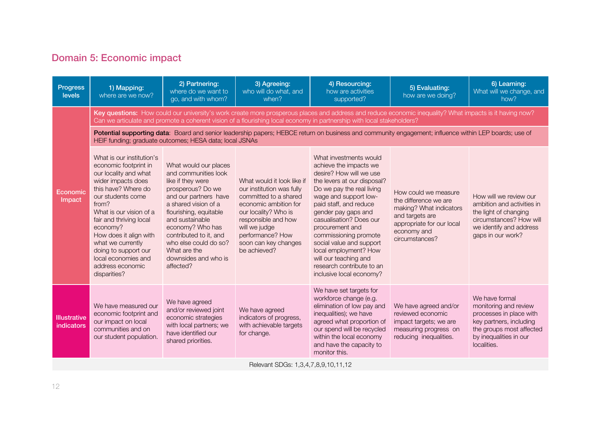### Domain 5: Economic impact

| <b>Progress</b><br>levels         | 1) Mapping:<br>where are we now?                                                                                                                                                                                                                                                                                                                           | 2) Partnering:<br>where do we want to<br>go, and with whom?                                                                                                                                                                                                                                                       | 3) Agreeing:<br>who will do what, and<br>when?                                                                                                                                                                                        | 4) Resourcing:<br>how are activities<br>supported?                                                                                                                                                                                                                                                                                                                                                                              | 5) Evaluating:<br>how are we doing?                                                                                                                       | 6) Learning:<br>What will we change, and<br>how?                                                                                                                   |
|-----------------------------------|------------------------------------------------------------------------------------------------------------------------------------------------------------------------------------------------------------------------------------------------------------------------------------------------------------------------------------------------------------|-------------------------------------------------------------------------------------------------------------------------------------------------------------------------------------------------------------------------------------------------------------------------------------------------------------------|---------------------------------------------------------------------------------------------------------------------------------------------------------------------------------------------------------------------------------------|---------------------------------------------------------------------------------------------------------------------------------------------------------------------------------------------------------------------------------------------------------------------------------------------------------------------------------------------------------------------------------------------------------------------------------|-----------------------------------------------------------------------------------------------------------------------------------------------------------|--------------------------------------------------------------------------------------------------------------------------------------------------------------------|
|                                   |                                                                                                                                                                                                                                                                                                                                                            |                                                                                                                                                                                                                                                                                                                   |                                                                                                                                                                                                                                       | Key questions: How could our university's work create more prosperous places and address and reduce economic inequality? What impacts is it having now?<br>Can we articulate and promote a coherent vision of a flourishing local economy in partnership with local stakeholders?                                                                                                                                               |                                                                                                                                                           |                                                                                                                                                                    |
|                                   |                                                                                                                                                                                                                                                                                                                                                            | HEIF funding; graduate outcomes; HESA data; local JSNAs                                                                                                                                                                                                                                                           |                                                                                                                                                                                                                                       | Potential supporting data: Board and senior leadership papers; HEBCE return on business and community engagement; influence within LEP boards; use of                                                                                                                                                                                                                                                                           |                                                                                                                                                           |                                                                                                                                                                    |
| Economic<br>Impact                | What is our institution's<br>economic footprint in<br>our locality and what<br>wider impacts does<br>this have? Where do<br>our students come<br>from?<br>What is our vision of a<br>fair and thriving local<br>economy?<br>How does it align with<br>what we currently<br>doing to support our<br>local economies and<br>address economic<br>disparities? | What would our places<br>and communities look<br>like if they were<br>prosperous? Do we<br>and our partners have<br>a shared vision of a<br>flourishing, equitable<br>and sustainable<br>economy? Who has<br>contributed to it, and<br>who else could do so?<br>What are the<br>downsides and who is<br>affected? | What would it look like if<br>our institution was fully<br>committed to a shared<br>economic ambition for<br>our locality? Who is<br>responsible and how<br>will we judge<br>performance? How<br>soon can key changes<br>be achieved? | What investments would<br>achieve the impacts we<br>desire? How will we use<br>the levers at our disposal?<br>Do we pay the real living<br>wage and support low-<br>paid staff, and reduce<br>gender pay gaps and<br>casualisation? Does our<br>procurement and<br>commissioning promote<br>social value and support<br>local employment? How<br>will our teaching and<br>research contribute to an<br>inclusive local economy? | How could we measure<br>the difference we are<br>making? What indicators<br>and targets are<br>appropriate for our local<br>economy and<br>circumstances? | How will we review our<br>ambition and activities in<br>the light of changing<br>circumstances? How will<br>we identify and address<br>gaps in our work?           |
| <b>Illustrative</b><br>indicators | We have measured our<br>economic footprint and<br>our impact on local<br>communities and on<br>our student population.                                                                                                                                                                                                                                     | We have agreed<br>and/or reviewed joint<br>economic strategies<br>with local partners; we<br>have identified our<br>shared priorities.                                                                                                                                                                            | We have agreed<br>indicators of progress,<br>with achievable targets<br>for change.                                                                                                                                                   | We have set targets for<br>workforce change (e.g.<br>elimination of low pay and<br>inequalities); we have<br>agreed what proportion of<br>our spend will be recycled<br>within the local economy<br>and have the capacity to<br>monitor this.                                                                                                                                                                                   | We have agreed and/or<br>reviewed economic<br>impact targets; we are<br>measuring progress on<br>reducing inequalities.                                   | We have formal<br>monitoring and review<br>processes in place with<br>key partners, including<br>the groups most affected<br>by inequalities in our<br>localities. |

Relevant SDGs: 1,3,4,7,8,9,10,11,12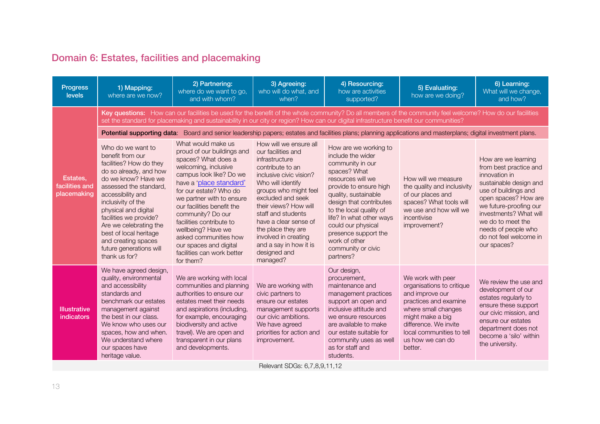# Domain 6: Estates, facilities and placemaking

| <b>Progress</b><br>levels                 | 1) Mapping:<br>where are we now?                                                                                                                                                                                                                                                                                                                                | 2) Partnering:<br>where do we want to go,<br>and with whom?                                                                                                                                                                                                                                                                                                                                                     | 3) Agreeing:<br>who will do what, and<br>when?                                                                                                                                                                                                                                                                                                               | 4) Resourcing:<br>how are activities<br>supported?                                                                                                                                                                                                                                                                                        | 5) Evaluating:<br>how are we doing?                                                                                                                                                                                        | 6) Learning:<br>What will we change,<br>and how?                                                                                                                                                                                                                                  |
|-------------------------------------------|-----------------------------------------------------------------------------------------------------------------------------------------------------------------------------------------------------------------------------------------------------------------------------------------------------------------------------------------------------------------|-----------------------------------------------------------------------------------------------------------------------------------------------------------------------------------------------------------------------------------------------------------------------------------------------------------------------------------------------------------------------------------------------------------------|--------------------------------------------------------------------------------------------------------------------------------------------------------------------------------------------------------------------------------------------------------------------------------------------------------------------------------------------------------------|-------------------------------------------------------------------------------------------------------------------------------------------------------------------------------------------------------------------------------------------------------------------------------------------------------------------------------------------|----------------------------------------------------------------------------------------------------------------------------------------------------------------------------------------------------------------------------|-----------------------------------------------------------------------------------------------------------------------------------------------------------------------------------------------------------------------------------------------------------------------------------|
|                                           |                                                                                                                                                                                                                                                                                                                                                                 | Key questions: How can our facilities be used for the benefit of the whole community? Do all members of the community feel welcome? How do our facilities<br>set the standard for placemaking and sustainability in our city or region? How can our digital infrastructure benefit our communities?                                                                                                             |                                                                                                                                                                                                                                                                                                                                                              |                                                                                                                                                                                                                                                                                                                                           |                                                                                                                                                                                                                            |                                                                                                                                                                                                                                                                                   |
|                                           |                                                                                                                                                                                                                                                                                                                                                                 | Potential supporting data: Board and senior leadership papers; estates and facilities plans; planning applications and masterplans; digital investment plans.                                                                                                                                                                                                                                                   |                                                                                                                                                                                                                                                                                                                                                              |                                                                                                                                                                                                                                                                                                                                           |                                                                                                                                                                                                                            |                                                                                                                                                                                                                                                                                   |
| Estates.<br>facilities and<br>placemaking | Who do we want to<br>benefit from our<br>facilities? How do they<br>do so already, and how<br>do we know? Have we<br>assessed the standard.<br>accessibility and<br>inclusivity of the<br>physical and digital<br>facilities we provide?<br>Are we celebrating the<br>best of local heritage<br>and creating spaces<br>future generations will<br>thank us for? | What would make us<br>proud of our buildings and<br>spaces? What does a<br>welcoming, inclusive<br>campus look like? Do we<br>have a 'place standard'<br>for our estate? Who do<br>we partner with to ensure<br>our facilities benefit the<br>community? Do our<br>facilities contribute to<br>wellbeing? Have we<br>asked communities how<br>our spaces and digital<br>facilities can work better<br>for them? | How will we ensure all<br>our facilities and<br>infrastructure<br>contribute to an<br>inclusive civic vision?<br>Who will identify<br>groups who might feel<br>excluded and seek<br>their views? How will<br>staff and students<br>have a clear sense of<br>the place they are<br>involved in creating<br>and a say in how it is<br>designed and<br>managed? | How are we working to<br>include the wider<br>community in our<br>spaces? What<br>resources will we<br>provide to ensure high<br>quality, sustainable<br>design that contributes<br>to the local quality of<br>life? In what other ways<br>could our physical<br>presence support the<br>work of other<br>community or civic<br>partners? | How will we measure<br>the quality and inclusivity<br>of our places and<br>spaces? What tools will<br>we use and how will we<br>incentivise<br>improvement?                                                                | How are we learning<br>from best practice and<br>innovation in<br>sustainable design and<br>use of buildings and<br>open spaces? How are<br>we future-proofing our<br>investments? What will<br>we do to meet the<br>needs of people who<br>do not feel welcome in<br>our spaces? |
| Illustrative<br>indicators                | We have agreed design,<br>quality, environmental<br>and accessibility<br>standards and<br>benchmark our estates<br>management against<br>the best in our class.<br>We know who uses our<br>spaces, how and when.<br>We understand where<br>our spaces have<br>heritage value.                                                                                   | We are working with local<br>communities and planning<br>authorities to ensure our<br>estates meet their needs<br>and aspirations (including,<br>for example, encouraging<br>biodiversity and active<br>travel). We are open and<br>transparent in our plans<br>and developments.                                                                                                                               | We are working with<br>civic partners to<br>ensure our estates<br>management supports<br>our civic ambitions.<br>We have agreed<br>priorities for action and<br>improvement.                                                                                                                                                                                 | Our design,<br>procurement,<br>maintenance and<br>management practices<br>support an open and<br>inclusive attitude and<br>we ensure resources<br>are available to make<br>our estate suitable for<br>community uses as well<br>as for staff and<br>students.                                                                             | We work with peer<br>organisations to critique<br>and improve our<br>practices and examine<br>where small changes<br>might make a big<br>difference. We invite<br>local communities to tell<br>us how we can do<br>better. | We review the use and<br>development of our<br>estates regularly to<br>ensure these support<br>our civic mission, and<br>ensure our estates<br>department does not<br>become a 'silo' within<br>the university.                                                                   |

Relevant SDGs: 6,7,8,9,11,12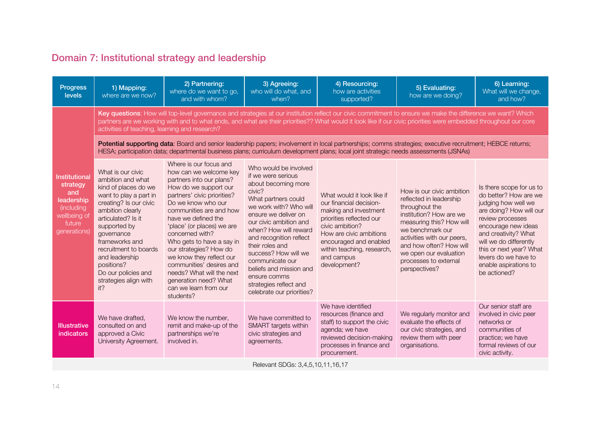# Domain 7: Institutional strategy and leadership

| <b>Progress</b><br>levels                                                                                            | 1) Mapping:<br>where are we now?                                                                                                                                                                                                                                                                                             | 2) Partnering:<br>where do we want to go,<br>and with whom?                                                                                                                                                                                                                                                                                                                                                                                                              | 3) Agreeing:<br>who will do what, and<br>when?                                                                                                                                                                                                                                                                                                                                                      | 4) Resourcing:<br>how are activities<br>supported?                                                                                                                                                                                             | 5) Evaluating:<br>how are we doing?                                                                                                                                                                                                                                            | 6) Learning:<br>What will we change,<br>and how?                                                                                                                                                                                                                                             |  |  |
|----------------------------------------------------------------------------------------------------------------------|------------------------------------------------------------------------------------------------------------------------------------------------------------------------------------------------------------------------------------------------------------------------------------------------------------------------------|--------------------------------------------------------------------------------------------------------------------------------------------------------------------------------------------------------------------------------------------------------------------------------------------------------------------------------------------------------------------------------------------------------------------------------------------------------------------------|-----------------------------------------------------------------------------------------------------------------------------------------------------------------------------------------------------------------------------------------------------------------------------------------------------------------------------------------------------------------------------------------------------|------------------------------------------------------------------------------------------------------------------------------------------------------------------------------------------------------------------------------------------------|--------------------------------------------------------------------------------------------------------------------------------------------------------------------------------------------------------------------------------------------------------------------------------|----------------------------------------------------------------------------------------------------------------------------------------------------------------------------------------------------------------------------------------------------------------------------------------------|--|--|
|                                                                                                                      | activities of teaching, learning and research?                                                                                                                                                                                                                                                                               | Key questions: How will top-level governance and strategies at our institution reflect our civic commitment to ensure we make the difference we want? Which<br>partners are we working with and to what ends, and what are their priorities?? What would it look like if our civic priorities were embedded throughout our core                                                                                                                                          |                                                                                                                                                                                                                                                                                                                                                                                                     |                                                                                                                                                                                                                                                |                                                                                                                                                                                                                                                                                |                                                                                                                                                                                                                                                                                              |  |  |
|                                                                                                                      | Potential supporting data: Board and senior leadership papers; involvement in local partnerships; comms strategies; executive recruitment; HEBCE returns;<br>HESA; participation data; departmental business plans; curriculum development plans; local joint strategic needs assessments (JSNAs)                            |                                                                                                                                                                                                                                                                                                                                                                                                                                                                          |                                                                                                                                                                                                                                                                                                                                                                                                     |                                                                                                                                                                                                                                                |                                                                                                                                                                                                                                                                                |                                                                                                                                                                                                                                                                                              |  |  |
| <b>Institutional</b><br>strategy<br>and<br>leadership<br><i>(including</i><br>wellbeing of<br>future<br>generations) | What is our civic<br>ambition and what<br>kind of places do we<br>want to play a part in<br>creating? Is our civic<br>ambition clearly<br>articulated? Is it<br>supported by<br>governance<br>frameworks and<br>recruitment to boards<br>and leadership<br>positions?<br>Do our policies and<br>strategies align with<br>it? | Where is our focus and<br>how can we welcome key<br>partners into our plans?<br>How do we support our<br>partners' civic priorities?<br>Do we know who our<br>communities are and how<br>have we defined the<br>'place' (or places) we are<br>concerned with?<br>Who gets to have a say in<br>our strategies? How do<br>we know they reflect our<br>communities' desires and<br>needs? What will the next<br>generation need? What<br>can we learn from our<br>students? | Who would be involved<br>if we were serious<br>about becoming more<br>civic?<br>What partners could<br>we work with? Who will<br>ensure we deliver on<br>our civic ambition and<br>when? How will reward<br>and recognition reflect<br>their roles and<br>success? How will we<br>communicate our<br>beliefs and mission and<br>ensure comms<br>strategies reflect and<br>celebrate our priorities? | What would it look like if<br>our financial decision-<br>making and investment<br>priorities reflected our<br>civic ambition?<br>How are civic ambitions<br>encouraged and enabled<br>within teaching, research,<br>and campus<br>development? | How is our civic ambition<br>reflected in leadership<br>throughout the<br>institution? How are we<br>measuring this? How will<br>we benchmark our<br>activities with our peers,<br>and how often? How will<br>we open our evaluation<br>processes to external<br>perspectives? | Is there scope for us to<br>do better? How are we<br>judging how well we<br>are doing? How will our<br>review processes<br>encourage new ideas<br>and creativity? What<br>will we do differently<br>this or next year? What<br>levers do we have to<br>enable aspirations to<br>be actioned? |  |  |
| <b>Illustrative</b><br>indicators                                                                                    | We have drafted,<br>consulted on and<br>approved a Civic<br>University Agreement.                                                                                                                                                                                                                                            | We know the number,<br>remit and make-up of the<br>partnerships we're<br>involved in.                                                                                                                                                                                                                                                                                                                                                                                    | We have committed to<br>SMART targets within<br>civic strategies and<br>agreements.                                                                                                                                                                                                                                                                                                                 | We have identified<br>resources (finance and<br>staff) to support the civic<br>agenda; we have<br>reviewed decision-making<br>processes in finance and<br>procurement.                                                                         | We regularly monitor and<br>evaluate the effects of<br>our civic strategies, and<br>review them with peer<br>organisations.                                                                                                                                                    | Our senior staff are<br>involved in civic peer<br>networks or<br>communities of<br>practice; we have<br>formal reviews of our<br>civic activity.                                                                                                                                             |  |  |
|                                                                                                                      |                                                                                                                                                                                                                                                                                                                              |                                                                                                                                                                                                                                                                                                                                                                                                                                                                          | $D_{\Omega}$ $\Omega$ and $C_{\Omega}$ , $\Omega$ $\Lambda$ $E$ $1 \Omega$ $11$ $16$ $17$                                                                                                                                                                                                                                                                                                           |                                                                                                                                                                                                                                                |                                                                                                                                                                                                                                                                                |                                                                                                                                                                                                                                                                                              |  |  |

Relevant SDGs: 3,4,5,10,11,16,17